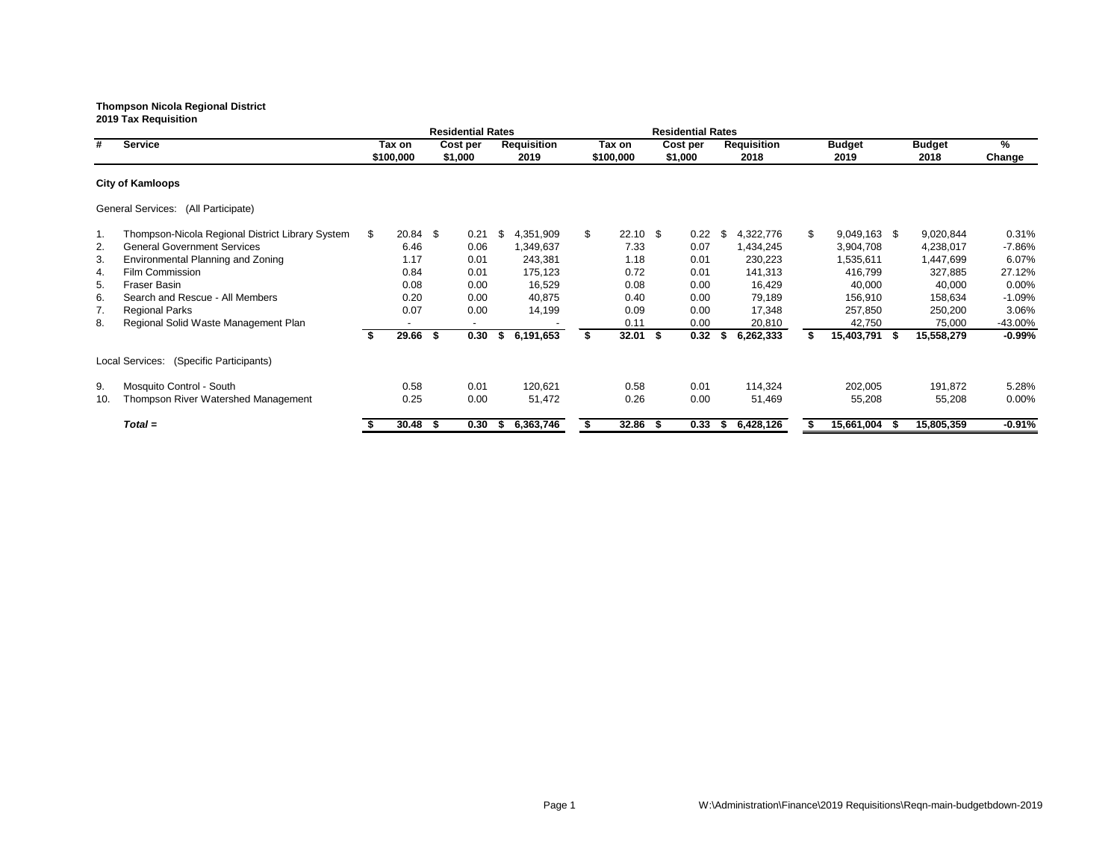|     |                                                  |     |            |      | <b>Residential Rates</b> |    |                    |     |            |      | <b>Residential Rates</b> |      |                    |                      |               |           |
|-----|--------------------------------------------------|-----|------------|------|--------------------------|----|--------------------|-----|------------|------|--------------------------|------|--------------------|----------------------|---------------|-----------|
| #   | <b>Service</b>                                   |     | Tax on     |      | Cost per                 |    | <b>Requisition</b> |     | Tax on     |      | Cost per                 |      | <b>Requisition</b> | <b>Budget</b>        | <b>Budget</b> | %         |
|     |                                                  |     | \$100,000  |      | \$1,000                  |    | 2019               |     | \$100,000  |      | \$1,000                  |      | 2018               | 2019                 | 2018          | Change    |
|     | <b>City of Kamloops</b>                          |     |            |      |                          |    |                    |     |            |      |                          |      |                    |                      |               |           |
|     | General Services: (All Participate)              |     |            |      |                          |    |                    |     |            |      |                          |      |                    |                      |               |           |
| -1. | Thompson-Nicola Regional District Library System | -SS | $20.84$ \$ |      | 0.21                     | \$ | 4,351,909          | \$. | $22.10$ \$ |      | 0.22                     | \$   | 4,322,776          | \$<br>$9,049,163$ \$ | 9,020,844     | 0.31%     |
| 2.  | <b>General Government Services</b>               |     | 6.46       |      | 0.06                     |    | 1,349,637          |     | 7.33       |      | 0.07                     |      | 1,434,245          | 3,904,708            | 4,238,017     | -7.86%    |
| 3.  | <b>Environmental Planning and Zoning</b>         |     | 1.17       |      | 0.01                     |    | 243,381            |     | 1.18       |      | 0.01                     |      | 230,223            | 1,535,611            | 1,447,699     | 6.07%     |
| 4.  | Film Commission                                  |     | 0.84       |      | 0.01                     |    | 175,123            |     | 0.72       |      | 0.01                     |      | 141,313            | 416,799              | 327,885       | 27.12%    |
| 5.  | <b>Fraser Basin</b>                              |     | 0.08       |      | 0.00                     |    | 16,529             |     | 0.08       |      | 0.00                     |      | 16,429             | 40,000               | 40,000        | $0.00\%$  |
| 6.  | Search and Rescue - All Members                  |     | 0.20       |      | 0.00                     |    | 40,875             |     | 0.40       |      | 0.00                     |      | 79,189             | 156,910              | 158,634       | $-1.09%$  |
| 7.  | <b>Regional Parks</b>                            |     | 0.07       |      | 0.00                     |    | 14,199             |     | 0.09       |      | 0.00                     |      | 17,348             | 257,850              | 250,200       | 3.06%     |
| 8.  | Regional Solid Waste Management Plan             |     | $\sim$     |      | $\overline{\phantom{0}}$ |    |                    |     | 0.11       |      | 0.00                     |      | 20,810             | 42,750               | 75,000        | -43.00%   |
|     |                                                  |     | 29.66      | - \$ | 0.30                     | S. | 6,191,653          |     | 32.01      | \$   | 0.32                     | - \$ | 6,262,333          | 15,403,791           | 15,558,279    | $-0.99\%$ |
|     | Local Services: (Specific Participants)          |     |            |      |                          |    |                    |     |            |      |                          |      |                    |                      |               |           |
| 9.  | Mosquito Control - South                         |     | 0.58       |      | 0.01                     |    | 120,621            |     | 0.58       |      | 0.01                     |      | 114,324            | 202,005              | 191,872       | 5.28%     |
| 10. | Thompson River Watershed Management              |     | 0.25       |      | 0.00                     |    | 51,472             |     | 0.26       |      | 0.00                     |      | 51,469             | 55,208               | 55,208        | $0.00\%$  |
|     | $Total =$                                        |     | 30.48      |      | 0.30                     | ъ  | 6,363,746          |     | 32.86      | - 55 | 0.33                     | - 55 | 6,428,126          | 15,661,004           | 15,805,359    | $-0.91%$  |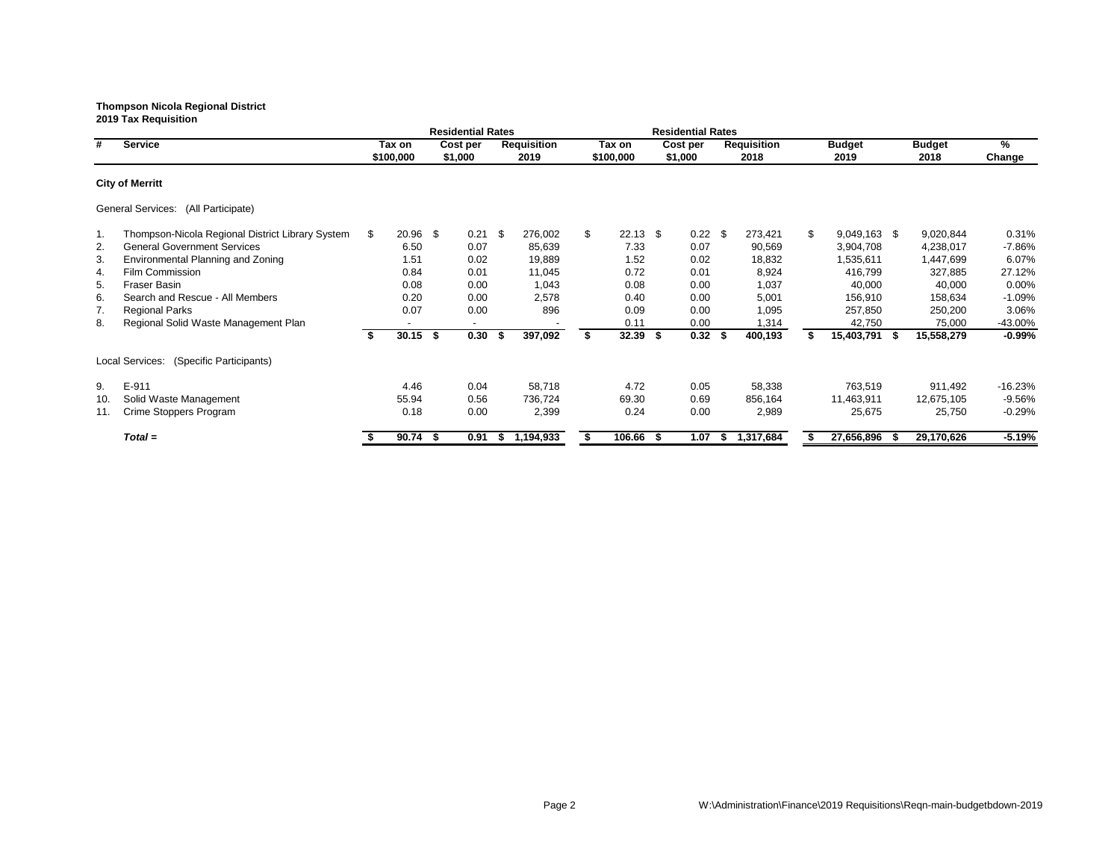|     |                                                  |    |            |    | <b>Residential Rates</b> |      |                    |                  |      | <b>Residential Rates</b> |      |                    |                |                |    |               |           |
|-----|--------------------------------------------------|----|------------|----|--------------------------|------|--------------------|------------------|------|--------------------------|------|--------------------|----------------|----------------|----|---------------|-----------|
| #   | <b>Service</b>                                   |    | Tax on     |    | Cost per                 |      | <b>Requisition</b> | Tax on           |      | Cost per                 |      | <b>Requisition</b> |                | <b>Budget</b>  |    | <b>Budget</b> | %         |
|     |                                                  |    | \$100,000  |    | \$1,000                  |      | 2019               | \$100,000        |      | \$1,000                  |      | 2018               |                | 2019           |    | 2018          | Change    |
|     | <b>City of Merritt</b>                           |    |            |    |                          |      |                    |                  |      |                          |      |                    |                |                |    |               |           |
|     | General Services: (All Participate)              |    |            |    |                          |      |                    |                  |      |                          |      |                    |                |                |    |               |           |
| 1.  | Thompson-Nicola Regional District Library System | S. | $20.96$ \$ |    | 0.21                     | - \$ | 276,002            | \$<br>$22.13$ \$ |      | $0.22$ \$                |      | 273,421            | $\mathfrak{S}$ | $9,049,163$ \$ |    | 9,020,844     | 0.31%     |
| 2.  | <b>General Government Services</b>               |    | 6.50       |    | 0.07                     |      | 85,639             | 7.33             |      | 0.07                     |      | 90,569             |                | 3,904,708      |    | 4,238,017     | $-7.86%$  |
| 3.  | Environmental Planning and Zoning                |    | 1.51       |    | 0.02                     |      | 19,889             | 1.52             |      | 0.02                     |      | 18,832             |                | 1,535,611      |    | 1,447,699     | 6.07%     |
| 4.  | Film Commission                                  |    | 0.84       |    | 0.01                     |      | 11,045             | 0.72             |      | 0.01                     |      | 8,924              |                | 416,799        |    | 327,885       | 27.12%    |
| 5.  | <b>Fraser Basin</b>                              |    | 0.08       |    | 0.00                     |      | 1,043              | 0.08             |      | 0.00                     |      | 1,037              |                | 40,000         |    | 40,000        | $0.00\%$  |
| 6.  | Search and Rescue - All Members                  |    | 0.20       |    | 0.00                     |      | 2,578              | 0.40             |      | 0.00                     |      | 5,001              |                | 156,910        |    | 158,634       | $-1.09%$  |
| 7.  | <b>Regional Parks</b>                            |    | 0.07       |    | 0.00                     |      | 896                | 0.09             |      | 0.00                     |      | 1,095              |                | 257,850        |    | 250,200       | 3.06%     |
| 8.  | Regional Solid Waste Management Plan             |    |            |    |                          |      |                    | 0.11             |      | 0.00                     |      | 1,314              |                | 42,750         |    | 75,000        | -43.00%   |
|     |                                                  |    | $30.15$ \$ |    | 0.30                     | -S   | 397,092            | 32.39            | -S   | $0.32$ \$                |      | 400,193            |                | 15,403,791     | -S | 15,558,279    | $-0.99%$  |
|     | Local Services: (Specific Participants)          |    |            |    |                          |      |                    |                  |      |                          |      |                    |                |                |    |               |           |
| 9.  | $E-911$                                          |    | 4.46       |    | 0.04                     |      | 58,718             | 4.72             |      | 0.05                     |      | 58,338             |                | 763,519        |    | 911,492       | $-16.23%$ |
| 10. | Solid Waste Management                           |    | 55.94      |    | 0.56                     |      | 736,724            | 69.30            |      | 0.69                     |      | 856,164            |                | 11,463,911     |    | 12,675,105    | -9.56%    |
| 11. | Crime Stoppers Program                           |    | 0.18       |    | 0.00                     |      | 2,399              | 0.24             |      | 0.00                     |      | 2,989              |                | 25,675         |    | 25,750        | $-0.29%$  |
|     | $Total =$                                        |    | 90.74      | -S | 0.91                     | S.   | 1,194,933          | 106.66           | - 56 | 1.07                     | - 56 | 1,317,684          |                | 27,656,896     |    | 29,170,626    | $-5.19%$  |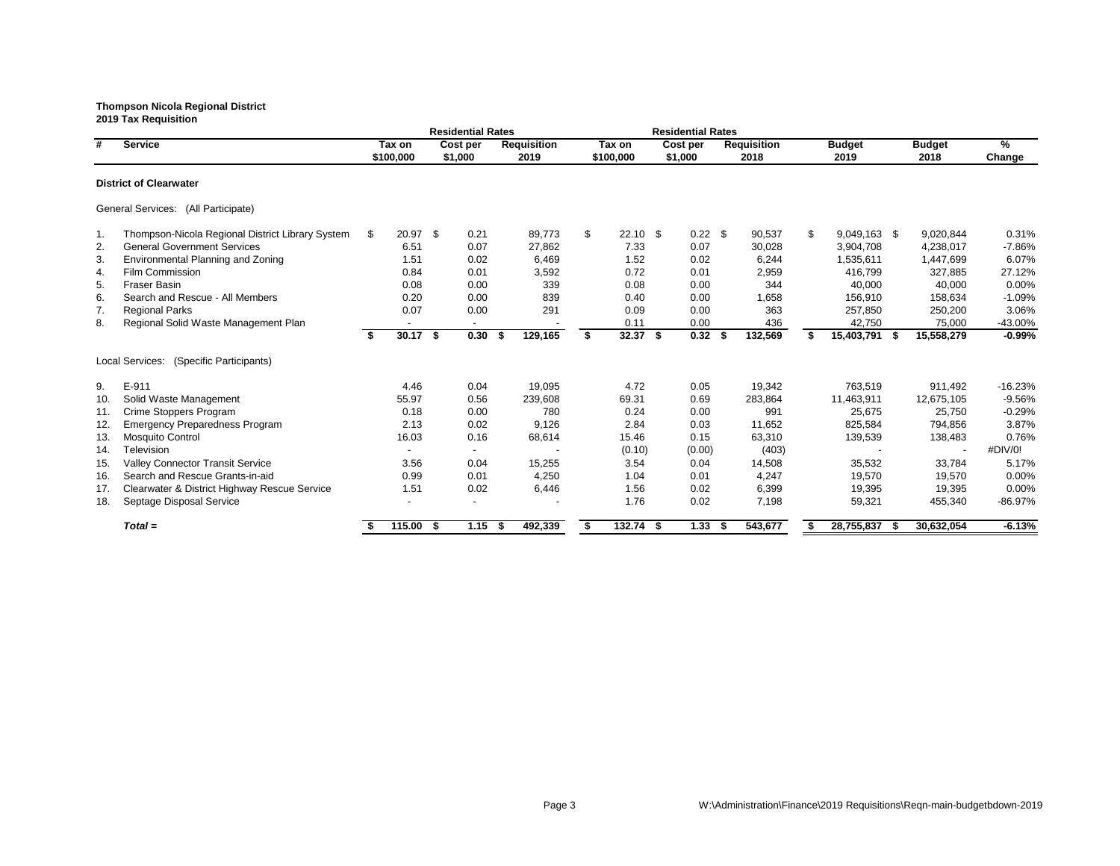|                                     |                                                  |    |                     |  | <b>Residential Rates</b> |                            |    |                     | <b>Residential Rates</b> |                            |                       |      |                       |                |
|-------------------------------------|--------------------------------------------------|----|---------------------|--|--------------------------|----------------------------|----|---------------------|--------------------------|----------------------------|-----------------------|------|-----------------------|----------------|
| #                                   | <b>Service</b>                                   |    | Tax on<br>\$100,000 |  | Cost per<br>\$1,000      | <b>Requisition</b><br>2019 |    | Tax on<br>\$100,000 | Cost per<br>\$1,000      | <b>Requisition</b><br>2018 | <b>Budget</b><br>2019 |      | <b>Budget</b><br>2018 | $\%$<br>Change |
|                                     | <b>District of Clearwater</b>                    |    |                     |  |                          |                            |    |                     |                          |                            |                       |      |                       |                |
| General Services: (All Participate) |                                                  |    |                     |  |                          |                            |    |                     |                          |                            |                       |      |                       |                |
| $\mathbf 1$ .                       | Thompson-Nicola Regional District Library System | \$ | 20.97 \$            |  | 0.21                     | 89,773                     | \$ | $22.10$ \$          | $0.22$ \$                | 90,537                     | \$<br>9,049,163 \$    |      | 9,020,844             | 0.31%          |
| 2.                                  | <b>General Government Services</b>               |    | 6.51                |  | 0.07                     | 27,862                     |    | 7.33                | 0.07                     | 30,028                     | 3,904,708             |      | 4,238,017             | $-7.86%$       |
| 3.                                  | <b>Environmental Planning and Zoning</b>         |    | 1.51                |  | 0.02                     | 6,469                      |    | 1.52                | 0.02                     | 6,244                      | 1,535,611             |      | 1,447,699             | 6.07%          |
| 4.                                  | Film Commission                                  |    | 0.84                |  | 0.01                     | 3,592                      |    | 0.72                | 0.01                     | 2,959                      | 416,799               |      | 327,885               | 27.12%         |
| 5.                                  | <b>Fraser Basin</b>                              |    | 0.08                |  | 0.00                     | 339                        |    | 0.08                | 0.00                     | 344                        | 40,000                |      | 40,000                | 0.00%          |
| 6.                                  | Search and Rescue - All Members                  |    | 0.20                |  | 0.00                     | 839                        |    | 0.40                | 0.00                     | 1,658                      | 156,910               |      | 158,634               | $-1.09%$       |
| 7.                                  | <b>Regional Parks</b>                            |    | 0.07                |  | 0.00                     | 291                        |    | 0.09                | 0.00                     | 363                        | 257,850               |      | 250,200               | 3.06%          |
| 8.                                  | Regional Solid Waste Management Plan             |    |                     |  |                          |                            |    | 0.11                | 0.00                     | 436                        | 42,750                |      | 75,000                | -43.00%        |
|                                     |                                                  | \$ | $30.17$ \$          |  | 0.30                     | 129,165<br>\$              | \$ | $32.37$ \$          | $0.32$ \$                | 132,569                    | 15,403,791            | - \$ | 15,558,279            | $-0.99%$       |
|                                     | Local Services: (Specific Participants)          |    |                     |  |                          |                            |    |                     |                          |                            |                       |      |                       |                |
| 9.                                  | E-911                                            |    | 4.46                |  | 0.04                     | 19,095                     |    | 4.72                | 0.05                     | 19,342                     | 763,519               |      | 911,492               | $-16.23%$      |
| 10.                                 | Solid Waste Management                           |    | 55.97               |  | 0.56                     | 239,608                    |    | 69.31               | 0.69                     | 283,864                    | 11,463,911            |      | 12,675,105            | $-9.56%$       |
| 11.                                 | Crime Stoppers Program                           |    | 0.18                |  | 0.00                     | 780                        |    | 0.24                | 0.00                     | 991                        | 25,675                |      | 25,750                | $-0.29%$       |
| 12.                                 | <b>Emergency Preparedness Program</b>            |    | 2.13                |  | 0.02                     | 9,126                      |    | 2.84                | 0.03                     | 11,652                     | 825,584               |      | 794,856               | 3.87%          |
| 13.                                 | <b>Mosquito Control</b>                          |    | 16.03               |  | 0.16                     | 68,614                     |    | 15.46               | 0.15                     | 63,310                     | 139,539               |      | 138,483               | 0.76%          |
| 14.                                 | Television                                       |    |                     |  |                          |                            |    | (0.10)              | (0.00)                   | (403)                      |                       |      |                       | #DIV/0!        |
| 15.                                 | <b>Valley Connector Transit Service</b>          |    | 3.56                |  | 0.04                     | 15,255                     |    | 3.54                | 0.04                     | 14,508                     | 35,532                |      | 33,784                | 5.17%          |
| 16.                                 | Search and Rescue Grants-in-aid                  |    | 0.99                |  | 0.01                     | 4,250                      |    | 1.04                | 0.01                     | 4,247                      | 19,570                |      | 19,570                | 0.00%          |
| 17.                                 | Clearwater & District Highway Rescue Service     |    | 1.51                |  | 0.02                     | 6,446                      |    | 1.56                | 0.02                     | 6,399                      | 19,395                |      | 19,395                | 0.00%          |
| 18.                                 | Septage Disposal Service                         |    |                     |  |                          |                            |    | 1.76                | 0.02                     | 7,198                      | 59,321                |      | 455,340               | $-86.97%$      |
|                                     | $Total =$                                        |    | 115.00 \$           |  | 1.15                     | 492,339<br>- \$            |    | $132.74$ \$         | $1.33$ \$                | 543,677                    | 28,755,837            | - \$ | 30,632,054            | $-6.13%$       |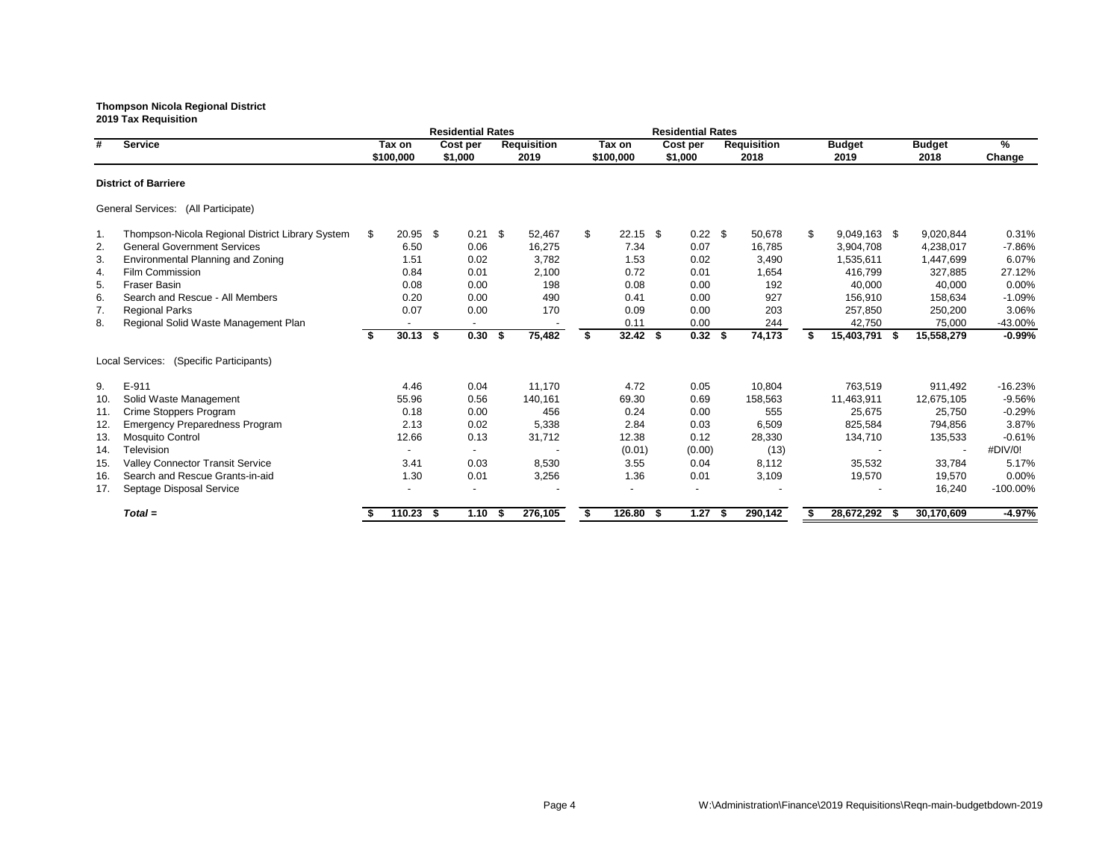|     |                                                  |     |                     | <b>Residential Rates</b> |      |                            |    |                     |      | <b>Residential Rates</b> |      |                            |                       |      |                       |                |
|-----|--------------------------------------------------|-----|---------------------|--------------------------|------|----------------------------|----|---------------------|------|--------------------------|------|----------------------------|-----------------------|------|-----------------------|----------------|
| #   | <b>Service</b>                                   |     | Tax on<br>\$100,000 | Cost per<br>\$1,000      |      | <b>Requisition</b><br>2019 |    | Tax on<br>\$100,000 |      | Cost per<br>\$1,000      |      | <b>Requisition</b><br>2018 | <b>Budget</b><br>2019 |      | <b>Budget</b><br>2018 | $\%$<br>Change |
|     | <b>District of Barriere</b>                      |     |                     |                          |      |                            |    |                     |      |                          |      |                            |                       |      |                       |                |
|     | General Services: (All Participate)              |     |                     |                          |      |                            |    |                     |      |                          |      |                            |                       |      |                       |                |
| 1.  | Thompson-Nicola Regional District Library System | \$. | $20.95$ \$          | $0.21$ \$                |      | 52,467                     | \$ | $22.15$ \$          |      | $0.22$ \$                |      | 50,678                     | \$<br>9,049,163 \$    |      | 9,020,844             | 0.31%          |
| 2.  | <b>General Government Services</b>               |     | 6.50                | 0.06                     |      | 16,275                     |    | 7.34                |      | 0.07                     |      | 16,785                     | 3,904,708             |      | 4,238,017             | $-7.86%$       |
| 3.  | Environmental Planning and Zoning                |     | 1.51                | 0.02                     |      | 3,782                      |    | 1.53                |      | 0.02                     |      | 3,490                      | 1,535,611             |      | 1,447,699             | 6.07%          |
| 4.  | Film Commission                                  |     | 0.84                | 0.01                     |      | 2,100                      |    | 0.72                |      | 0.01                     |      | 1,654                      | 416,799               |      | 327,885               | 27.12%         |
| 5.  | <b>Fraser Basin</b>                              |     | 0.08                | 0.00                     |      | 198                        |    | 0.08                |      | 0.00                     |      | 192                        | 40,000                |      | 40,000                | 0.00%          |
| 6.  | Search and Rescue - All Members                  |     | 0.20                | 0.00                     |      | 490                        |    | 0.41                |      | 0.00                     |      | 927                        | 156,910               |      | 158,634               | $-1.09%$       |
| 7.  | <b>Regional Parks</b>                            |     | 0.07                | 0.00                     |      | 170                        |    | 0.09                |      | 0.00                     |      | 203                        | 257,850               |      | 250,200               | 3.06%          |
| 8.  | Regional Solid Waste Management Plan             |     |                     |                          |      |                            |    | 0.11                |      | 0.00                     |      | 244                        | 42,750                |      | 75,000                | $-43.00%$      |
|     |                                                  | S.  | $30.13$ \$          | $0.30\quad$ \$           |      | 75,482                     | S  | $32.42$ \$          |      | $0.32$ \$                |      | 74,173                     | 15,403,791            | - \$ | 15,558,279            | $-0.99%$       |
|     | (Specific Participants)<br>Local Services:       |     |                     |                          |      |                            |    |                     |      |                          |      |                            |                       |      |                       |                |
| 9.  | E-911                                            |     | 4.46                | 0.04                     |      | 11,170                     |    | 4.72                |      | 0.05                     |      | 10,804                     | 763,519               |      | 911,492               | $-16.23%$      |
| 10. | Solid Waste Management                           |     | 55.96               | 0.56                     |      | 140,161                    |    | 69.30               |      | 0.69                     |      | 158,563                    | 11,463,911            |      | 12,675,105            | $-9.56%$       |
| 11. | Crime Stoppers Program                           |     | 0.18                | 0.00                     |      | 456                        |    | 0.24                |      | 0.00                     |      | 555                        | 25,675                |      | 25,750                | $-0.29%$       |
| 12. | <b>Emergency Preparedness Program</b>            |     | 2.13                | 0.02                     |      | 5,338                      |    | 2.84                |      | 0.03                     |      | 6,509                      | 825,584               |      | 794,856               | 3.87%          |
| 13. | <b>Mosquito Control</b>                          |     | 12.66               | 0.13                     |      | 31,712                     |    | 12.38               |      | 0.12                     |      | 28,330                     | 134,710               |      | 135,533               | $-0.61%$       |
| 14. | Television                                       |     |                     |                          |      |                            |    | (0.01)              |      | (0.00)                   |      | (13)                       |                       |      |                       | #DIV/0!        |
| 15. | <b>Valley Connector Transit Service</b>          |     | 3.41                | 0.03                     |      | 8,530                      |    | 3.55                |      | 0.04                     |      | 8,112                      | 35,532                |      | 33,784                | 5.17%          |
| 16. | Search and Rescue Grants-in-aid                  |     | 1.30                | 0.01                     |      | 3,256                      |    | 1.36                |      | 0.01                     |      | 3,109                      | 19,570                |      | 19,570                | 0.00%          |
| 17. | Septage Disposal Service                         |     |                     |                          |      |                            |    |                     |      |                          |      |                            |                       |      | 16,240                | $-100.00\%$    |
|     | $Total =$                                        |     | $110.23$ \$         | 1.10                     | - 55 | 276,105                    |    | 126.80              | - \$ | 1.27                     | - \$ | 290,142                    | 28,672,292            | - 55 | 30,170,609            | $-4.97%$       |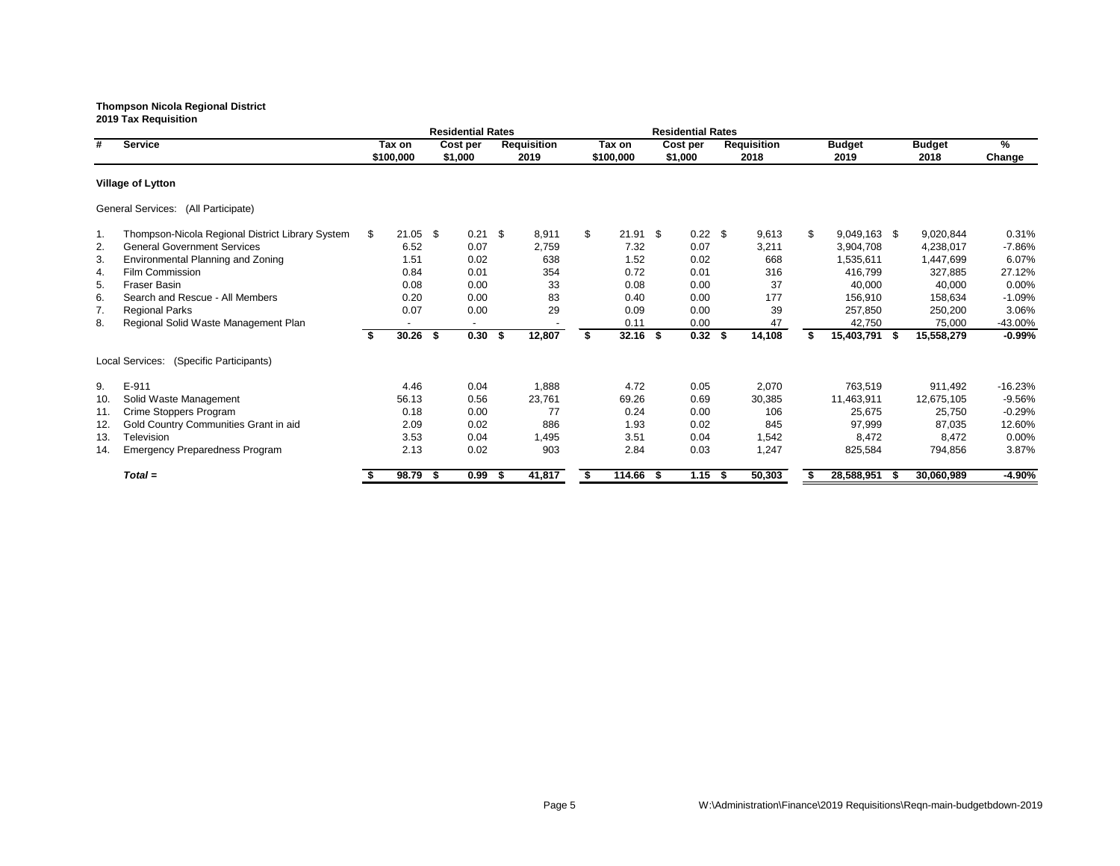|     |                                                  |    |            |      | <b>Residential Rates</b> |      |                    |    |            |     | <b>Residential Rates</b> |                    |                    |               |           |
|-----|--------------------------------------------------|----|------------|------|--------------------------|------|--------------------|----|------------|-----|--------------------------|--------------------|--------------------|---------------|-----------|
| #   | <b>Service</b>                                   |    | Tax on     |      | Cost per                 |      | <b>Requisition</b> |    | Tax on     |     | Cost per                 | <b>Requisition</b> | <b>Budget</b>      | <b>Budget</b> | $\%$      |
|     |                                                  |    | \$100,000  |      | \$1,000                  |      | 2019               |    | \$100,000  |     | \$1,000                  | 2018               | 2019               | 2018          | Change    |
|     | <b>Village of Lytton</b>                         |    |            |      |                          |      |                    |    |            |     |                          |                    |                    |               |           |
|     | General Services: (All Participate)              |    |            |      |                          |      |                    |    |            |     |                          |                    |                    |               |           |
| 1.  | Thompson-Nicola Regional District Library System | S. | $21.05$ \$ |      | 0.21                     | \$   | 8,911              | \$ | $21.91$ \$ |     | $0.22$ \$                | 9,613              | \$<br>9,049,163 \$ | 9,020,844     | 0.31%     |
| 2.  | <b>General Government Services</b>               |    | 6.52       |      | 0.07                     |      | 2,759              |    | 7.32       |     | 0.07                     | 3,211              | 3,904,708          | 4,238,017     | $-7.86%$  |
| 3.  | <b>Environmental Planning and Zoning</b>         |    | 1.51       |      | 0.02                     |      | 638                |    | 1.52       |     | 0.02                     | 668                | 1,535,611          | 1,447,699     | 6.07%     |
| 4.  | Film Commission                                  |    | 0.84       |      | 0.01                     |      | 354                |    | 0.72       |     | 0.01                     | 316                | 416,799            | 327,885       | 27.12%    |
| 5.  | <b>Fraser Basin</b>                              |    | 0.08       |      | 0.00                     |      | 33                 |    | 0.08       |     | 0.00                     | 37                 | 40,000             | 40,000        | 0.00%     |
| 6.  | Search and Rescue - All Members                  |    | 0.20       |      | 0.00                     |      | 83                 |    | 0.40       |     | 0.00                     | 177                | 156,910            | 158,634       | $-1.09%$  |
| 7.  | <b>Regional Parks</b>                            |    | 0.07       |      | 0.00                     |      | 29                 |    | 0.09       |     | 0.00                     | 39                 | 257,850            | 250,200       | 3.06%     |
| 8.  | Regional Solid Waste Management Plan             |    |            |      | $\overline{\phantom{a}}$ |      |                    |    | 0.11       |     | 0.00                     | 47                 | 42,750             | 75,000        | -43.00%   |
|     |                                                  | \$ | 30.26      | -\$  | 0.30                     | -\$  | 12,807             | S  | $32.16$ \$ |     | $0.32$ \$                | 14,108             | 15,403,791 \$      | 15,558,279    | $-0.99%$  |
|     | Local Services: (Specific Participants)          |    |            |      |                          |      |                    |    |            |     |                          |                    |                    |               |           |
| 9.  | E-911                                            |    | 4.46       |      | 0.04                     |      | 1,888              |    | 4.72       |     | 0.05                     | 2,070              | 763,519            | 911,492       | $-16.23%$ |
| 10. | Solid Waste Management                           |    | 56.13      |      | 0.56                     |      | 23,761             |    | 69.26      |     | 0.69                     | 30,385             | 11,463,911         | 12,675,105    | $-9.56%$  |
| 11. | Crime Stoppers Program                           |    | 0.18       |      | 0.00                     |      | 77                 |    | 0.24       |     | 0.00                     | 106                | 25,675             | 25,750        | $-0.29%$  |
| 12. | Gold Country Communities Grant in aid            |    | 2.09       |      | 0.02                     |      | 886                |    | 1.93       |     | 0.02                     | 845                | 97,999             | 87,035        | 12.60%    |
| 13. | Television                                       |    | 3.53       |      | 0.04                     |      | 1,495              |    | 3.51       |     | 0.04                     | 1,542              | 8,472              | 8,472         | 0.00%     |
| 14. | <b>Emergency Preparedness Program</b>            |    | 2.13       |      | 0.02                     |      | 903                |    | 2.84       |     | 0.03                     | 1,247              | 825,584            | 794,856       | 3.87%     |
|     | $Total =$                                        |    | 98.79      | - \$ | 0.99                     | - 55 | 41,817             |    | 114.66     | - 5 | 1.15                     | 50,303             | 28,588,951         | 30,060,989    | $-4.90%$  |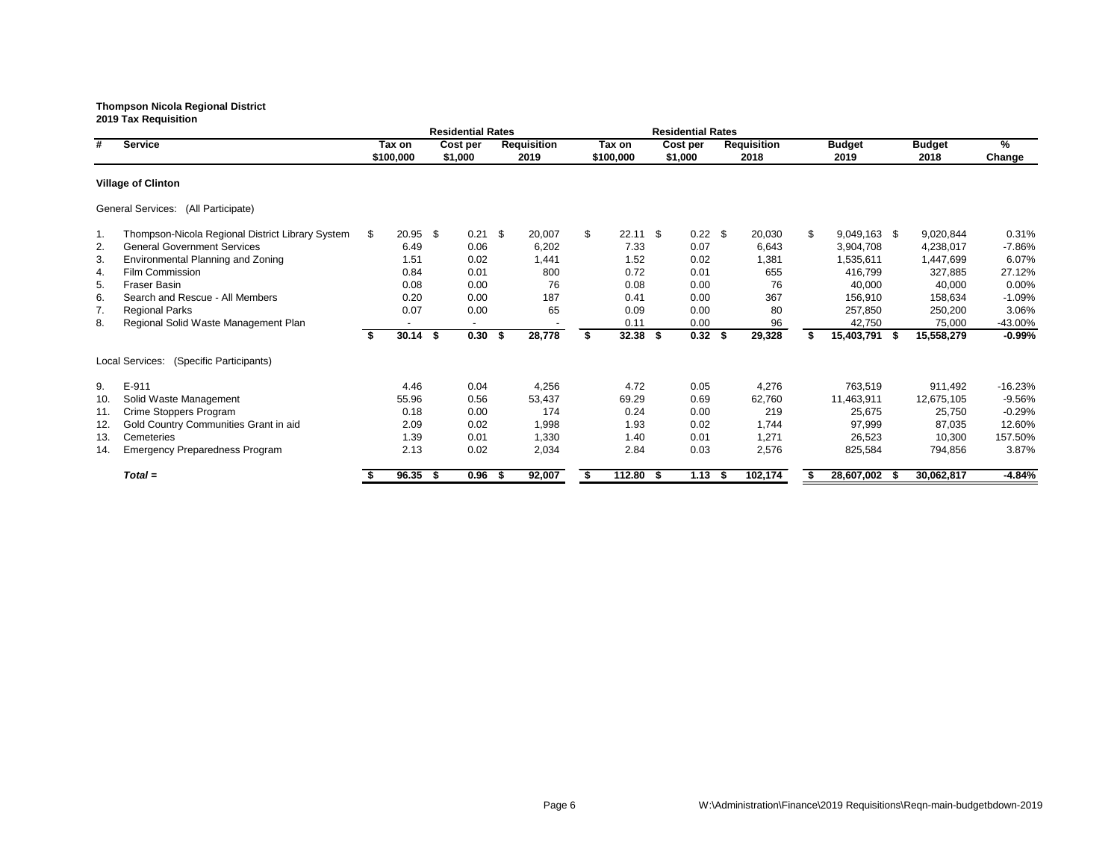|     |                                                  |    |            |      | <b>Residential Rates</b> |      |                    |                  |      | <b>Residential Rates</b> |                    |     |               |               |           |
|-----|--------------------------------------------------|----|------------|------|--------------------------|------|--------------------|------------------|------|--------------------------|--------------------|-----|---------------|---------------|-----------|
| #   | <b>Service</b>                                   |    | Tax on     |      | Cost per                 |      | <b>Requisition</b> | Tax on           |      | Cost per                 | <b>Requisition</b> |     | <b>Budget</b> | <b>Budget</b> | $\%$      |
|     |                                                  |    | \$100,000  |      | \$1,000                  |      | 2019               | \$100,000        |      | \$1,000                  | 2018               |     | 2019          | 2018          | Change    |
|     | <b>Village of Clinton</b>                        |    |            |      |                          |      |                    |                  |      |                          |                    |     |               |               |           |
|     | General Services: (All Participate)              |    |            |      |                          |      |                    |                  |      |                          |                    |     |               |               |           |
| 1.  | Thompson-Nicola Regional District Library System | S. | $20.95$ \$ |      | 0.21                     | \$   | 20,007             | \$<br>$22.11$ \$ |      | $0.22$ \$                | 20,030             | \$. | 9,049,163 \$  | 9,020,844     | 0.31%     |
| 2.  | <b>General Government Services</b>               |    | 6.49       |      | 0.06                     |      | 6,202              | 7.33             |      | 0.07                     | 6,643              |     | 3,904,708     | 4,238,017     | $-7.86%$  |
| 3.  | Environmental Planning and Zoning                |    | 1.51       |      | 0.02                     |      | 1,441              | 1.52             |      | 0.02                     | 1,381              |     | 1,535,611     | 1,447,699     | 6.07%     |
| 4.  | Film Commission                                  |    | 0.84       |      | 0.01                     |      | 800                | 0.72             |      | 0.01                     | 655                |     | 416,799       | 327,885       | 27.12%    |
| 5.  | <b>Fraser Basin</b>                              |    | 0.08       |      | 0.00                     |      | 76                 | 0.08             |      | 0.00                     | 76                 |     | 40,000        | 40,000        | 0.00%     |
| 6.  | Search and Rescue - All Members                  |    | 0.20       |      | 0.00                     |      | 187                | 0.41             |      | 0.00                     | 367                |     | 156,910       | 158,634       | $-1.09%$  |
| 7.  | <b>Regional Parks</b>                            |    | 0.07       |      | 0.00                     |      | 65                 | 0.09             |      | 0.00                     | 80                 |     | 257,850       | 250,200       | 3.06%     |
| 8.  | Regional Solid Waste Management Plan             |    |            |      | $\blacksquare$           |      |                    | 0.11             |      | 0.00                     | 96                 |     | 42,750        | 75,000        | -43.00%   |
|     |                                                  | \$ | 30.14      | - \$ | 0.30                     | \$   | 28,778             | \$<br>$32.38$ \$ |      | $0.32$ \$                | 29,328             |     | 15,403,791 \$ | 15,558,279    | $-0.99%$  |
|     | Local Services:<br>(Specific Participants)       |    |            |      |                          |      |                    |                  |      |                          |                    |     |               |               |           |
| 9.  | E-911                                            |    | 4.46       |      | 0.04                     |      | 4,256              | 4.72             |      | 0.05                     | 4,276              |     | 763,519       | 911,492       | $-16.23%$ |
| 10. | Solid Waste Management                           |    | 55.96      |      | 0.56                     |      | 53,437             | 69.29            |      | 0.69                     | 62,760             |     | 11,463,911    | 12,675,105    | $-9.56%$  |
| 11. | Crime Stoppers Program                           |    | 0.18       |      | 0.00                     |      | 174                | 0.24             |      | 0.00                     | 219                |     | 25,675        | 25,750        | $-0.29%$  |
| 12. | Gold Country Communities Grant in aid            |    | 2.09       |      | 0.02                     |      | 1,998              | 1.93             |      | 0.02                     | 1,744              |     | 97,999        | 87,035        | 12.60%    |
| 13. | Cemeteries                                       |    | 1.39       |      | 0.01                     |      | 1,330              | 1.40             |      | 0.01                     | 1,271              |     | 26,523        | 10,300        | 157.50%   |
| 14. | <b>Emergency Preparedness Program</b>            |    | 2.13       |      | 0.02                     |      | 2,034              | 2.84             |      | 0.03                     | 2,576              |     | 825,584       | 794,856       | 3.87%     |
|     | $Total =$                                        |    | 96.35      | -\$  | 0.96                     | - 56 | 92,007             | 112.80           | - \$ | 1.13                     | 102,174            |     | 28,607,002    | 30,062,817    | $-4.84%$  |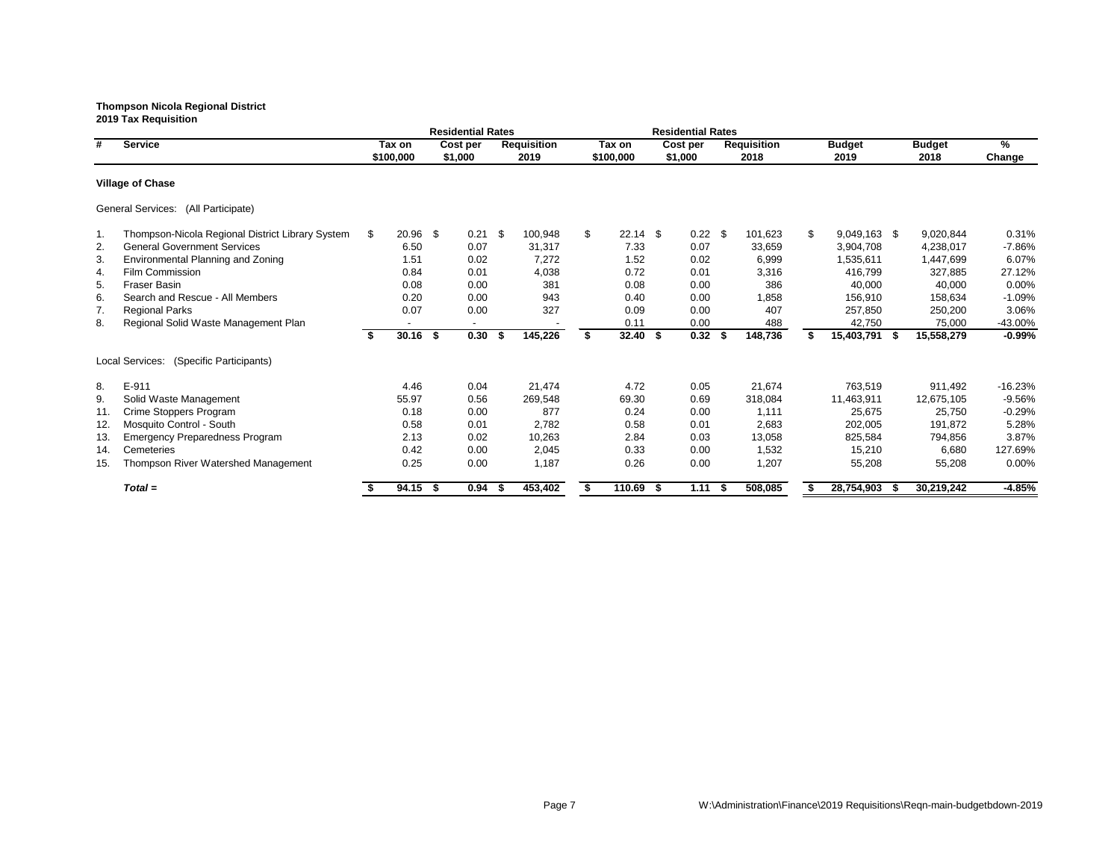|     |                                                  |      |            | <b>Residential Rates</b> |      |                    |      |             | <b>Residential Rates</b> |      |                    |                           |                |      |               |               |
|-----|--------------------------------------------------|------|------------|--------------------------|------|--------------------|------|-------------|--------------------------|------|--------------------|---------------------------|----------------|------|---------------|---------------|
| #   | <b>Service</b>                                   |      | Tax on     | Cost per                 |      | <b>Requisition</b> |      | Tax on      | Cost per                 |      | <b>Requisition</b> |                           | <b>Budget</b>  |      | <b>Budget</b> | $\frac{9}{6}$ |
|     |                                                  |      | \$100,000  | \$1,000                  |      | 2019               |      | \$100,000   | \$1,000                  |      | 2018               |                           | 2019           |      | 2018          | Change        |
|     | <b>Village of Chase</b>                          |      |            |                          |      |                    |      |             |                          |      |                    |                           |                |      |               |               |
|     | General Services: (All Participate)              |      |            |                          |      |                    |      |             |                          |      |                    |                           |                |      |               |               |
| 1.  | Thompson-Nicola Regional District Library System | - SS | 20.96 \$   | 0.21                     | -\$  | 100,948            | \$   | $22.14$ \$  | $0.22$ \$                |      | 101,623            | $\boldsymbol{\mathsf{S}}$ | $9,049,163$ \$ |      | 9,020,844     | 0.31%         |
| 2.  | <b>General Government Services</b>               |      | 6.50       | 0.07                     |      | 31,317             |      | 7.33        | 0.07                     |      | 33,659             |                           | 3,904,708      |      | 4,238,017     | $-7.86%$      |
| 3.  | Environmental Planning and Zoning                |      | 1.51       | 0.02                     |      | 7,272              |      | 1.52        | 0.02                     |      | 6,999              |                           | 1,535,611      |      | 1,447,699     | 6.07%         |
| 4.  | Film Commission                                  |      | 0.84       | 0.01                     |      | 4,038              |      | 0.72        | 0.01                     |      | 3,316              |                           | 416,799        |      | 327,885       | 27.12%        |
| 5.  | <b>Fraser Basin</b>                              |      | 0.08       | 0.00                     |      | 381                |      | 0.08        | 0.00                     |      | 386                |                           | 40,000         |      | 40,000        | 0.00%         |
| 6.  | Search and Rescue - All Members                  |      | 0.20       | 0.00                     |      | 943                |      | 0.40        | 0.00                     |      | 1,858              |                           | 156,910        |      | 158,634       | $-1.09%$      |
| 7.  | <b>Regional Parks</b>                            |      | 0.07       | 0.00                     |      | 327                |      | 0.09        | 0.00                     |      | 407                |                           | 257,850        |      | 250,200       | 3.06%         |
| 8.  | Regional Solid Waste Management Plan             |      |            |                          |      |                    |      | 0.11        | 0.00                     |      | 488                |                           | 42,750         |      | 75,000        | -43.00%       |
|     |                                                  | - \$ | $30.16$ \$ | 0.30                     | - \$ | 145,226            | - \$ | $32.40$ \$  | $0.32$ \$                |      | 148,736            |                           | 15,403,791     | - 56 | 15,558,279    | $-0.99%$      |
|     | Local Services: (Specific Participants)          |      |            |                          |      |                    |      |             |                          |      |                    |                           |                |      |               |               |
| 8.  | E-911                                            |      | 4.46       | 0.04                     |      | 21,474             |      | 4.72        | 0.05                     |      | 21,674             |                           | 763,519        |      | 911,492       | $-16.23%$     |
| 9.  | Solid Waste Management                           |      | 55.97      | 0.56                     |      | 269,548            |      | 69.30       | 0.69                     |      | 318,084            |                           | 11,463,911     |      | 12,675,105    | $-9.56%$      |
| 11. | Crime Stoppers Program                           |      | 0.18       | 0.00                     |      | 877                |      | 0.24        | 0.00                     |      | 1,111              |                           | 25,675         |      | 25,750        | $-0.29%$      |
| 12. | Mosquito Control - South                         |      | 0.58       | 0.01                     |      | 2,782              |      | 0.58        | 0.01                     |      | 2,683              |                           | 202,005        |      | 191,872       | 5.28%         |
| 13. | <b>Emergency Preparedness Program</b>            |      | 2.13       | 0.02                     |      | 10,263             |      | 2.84        | 0.03                     |      | 13,058             |                           | 825,584        |      | 794,856       | 3.87%         |
| 14. | Cemeteries                                       |      | 0.42       | 0.00                     |      | 2,045              |      | 0.33        | 0.00                     |      | 1,532              |                           | 15,210         |      | 6,680         | 127.69%       |
| 15. | Thompson River Watershed Management              |      | 0.25       | 0.00                     |      | 1,187              |      | 0.26        | 0.00                     |      | 1,207              |                           | 55,208         |      | 55,208        | 0.00%         |
|     | $Total =$                                        |      | 94.15 \$   | 0.94                     | - 56 | 453,402            |      | $110.69$ \$ | 1.11                     | - \$ | 508,085            |                           | 28,754,903     | - 56 | 30,219,242    | $-4.85%$      |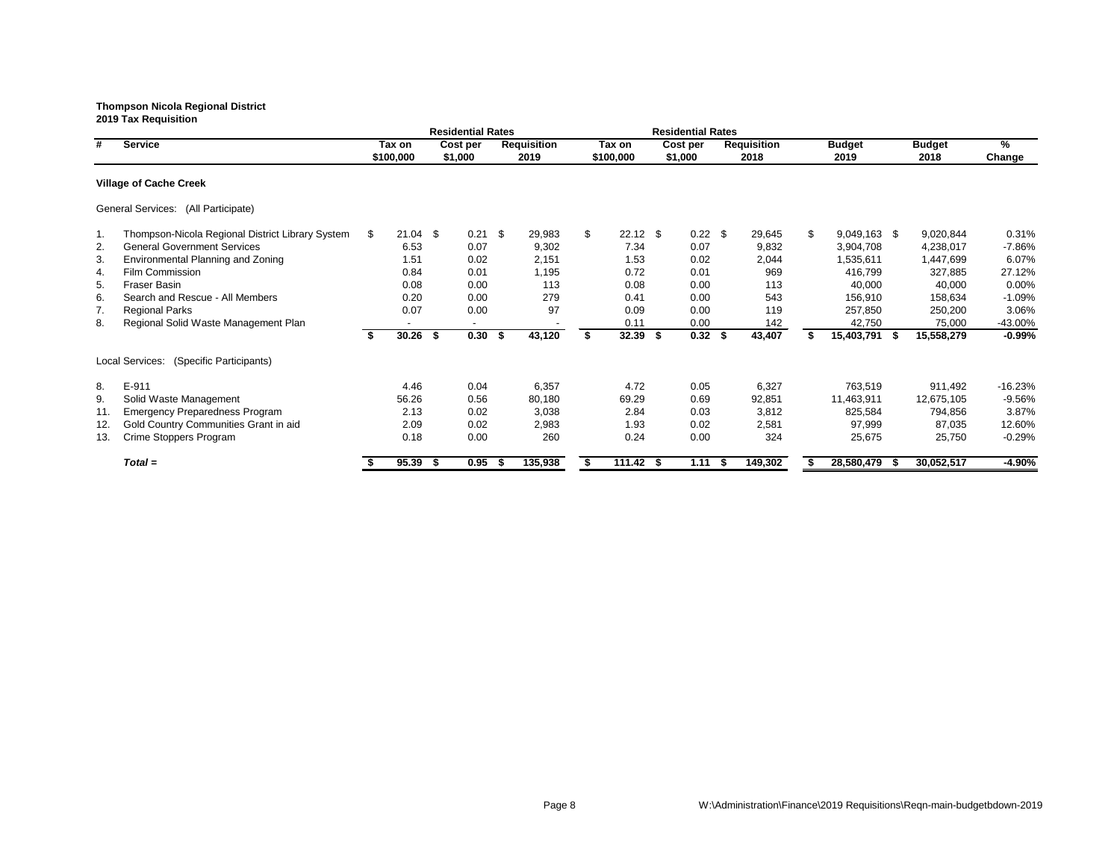|     |                                                  |     |            | <b>Residential Rates</b> |     |                    |                  | <b>Residential Rates</b> |     |                    |                      |    |               |           |
|-----|--------------------------------------------------|-----|------------|--------------------------|-----|--------------------|------------------|--------------------------|-----|--------------------|----------------------|----|---------------|-----------|
| #   | <b>Service</b>                                   |     | Tax on     | Cost per                 |     | <b>Requisition</b> | Tax on           | Cost per                 |     | <b>Requisition</b> | <b>Budget</b>        |    | <b>Budget</b> | $\%$      |
|     |                                                  |     | \$100,000  | \$1,000                  |     | 2019               | \$100,000        | \$1,000                  |     | 2018               | 2019                 |    | 2018          | Change    |
|     | <b>Village of Cache Creek</b>                    |     |            |                          |     |                    |                  |                          |     |                    |                      |    |               |           |
|     | General Services: (All Participate)              |     |            |                          |     |                    |                  |                          |     |                    |                      |    |               |           |
| 1.  | Thompson-Nicola Regional District Library System | - S | $21.04$ \$ | $0.21$ \$                |     | 29,983             | \$<br>$22.12$ \$ | $0.22$ \$                |     | 29,645             | \$<br>$9,049,163$ \$ |    | 9,020,844     | 0.31%     |
| 2.  | <b>General Government Services</b>               |     | 6.53       | 0.07                     |     | 9,302              | 7.34             | 0.07                     |     | 9,832              | 3,904,708            |    | 4,238,017     | -7.86%    |
| 3.  | Environmental Planning and Zoning                |     | 1.51       | 0.02                     |     | 2,151              | 1.53             | 0.02                     |     | 2,044              | 1,535,611            |    | 1,447,699     | 6.07%     |
| 4.  | <b>Film Commission</b>                           |     | 0.84       | 0.01                     |     | 1,195              | 0.72             | 0.01                     |     | 969                | 416,799              |    | 327,885       | 27.12%    |
| 5.  | <b>Fraser Basin</b>                              |     | 0.08       | 0.00                     |     | 113                | 0.08             | 0.00                     |     | 113                | 40,000               |    | 40,000        | $0.00\%$  |
| 6.  | Search and Rescue - All Members                  |     | 0.20       | 0.00                     |     | 279                | 0.41             | 0.00                     |     | 543                | 156,910              |    | 158,634       | $-1.09%$  |
| 7.  | <b>Regional Parks</b>                            |     | 0.07       | 0.00                     |     | 97                 | 0.09             | 0.00                     |     | 119                | 257,850              |    | 250,200       | 3.06%     |
| 8.  | Regional Solid Waste Management Plan             |     |            |                          |     |                    | 0.11             | 0.00                     |     | 142                | 42,750               |    | 75,000        | -43.00%   |
|     |                                                  | -S  | $30.26$ \$ | 0.30                     | -\$ | 43,120             | $32.39$ \$       | $0.32$ \$                |     | 43,407             | 15,403,791           | -S | 15,558,279    | $-0.99%$  |
|     | (Specific Participants)<br>Local Services:       |     |            |                          |     |                    |                  |                          |     |                    |                      |    |               |           |
| 8.  | E-911                                            |     | 4.46       | 0.04                     |     | 6,357              | 4.72             | 0.05                     |     | 6,327              | 763,519              |    | 911,492       | $-16.23%$ |
| 9.  | Solid Waste Management                           |     | 56.26      | 0.56                     |     | 80,180             | 69.29            | 0.69                     |     | 92,851             | 11,463,911           |    | 12,675,105    | $-9.56%$  |
| 11. | <b>Emergency Preparedness Program</b>            |     | 2.13       | 0.02                     |     | 3,038              | 2.84             | 0.03                     |     | 3,812              | 825,584              |    | 794,856       | 3.87%     |
| 12. | Gold Country Communities Grant in aid            |     | 2.09       | 0.02                     |     | 2,983              | 1.93             | 0.02                     |     | 2,581              | 97,999               |    | 87,035        | 12.60%    |
| 13. | Crime Stoppers Program                           |     | 0.18       | 0.00                     |     | 260                | 0.24             | 0.00                     |     | 324                | 25,675               |    | 25,750        | $-0.29%$  |
|     | $Total =$                                        |     | 95.39      | 0.95                     |     | 135,938            | $111.42$ \$      | 1.11                     | - 5 | 149,302            | 28,580,479           |    | 30,052,517    | $-4.90\%$ |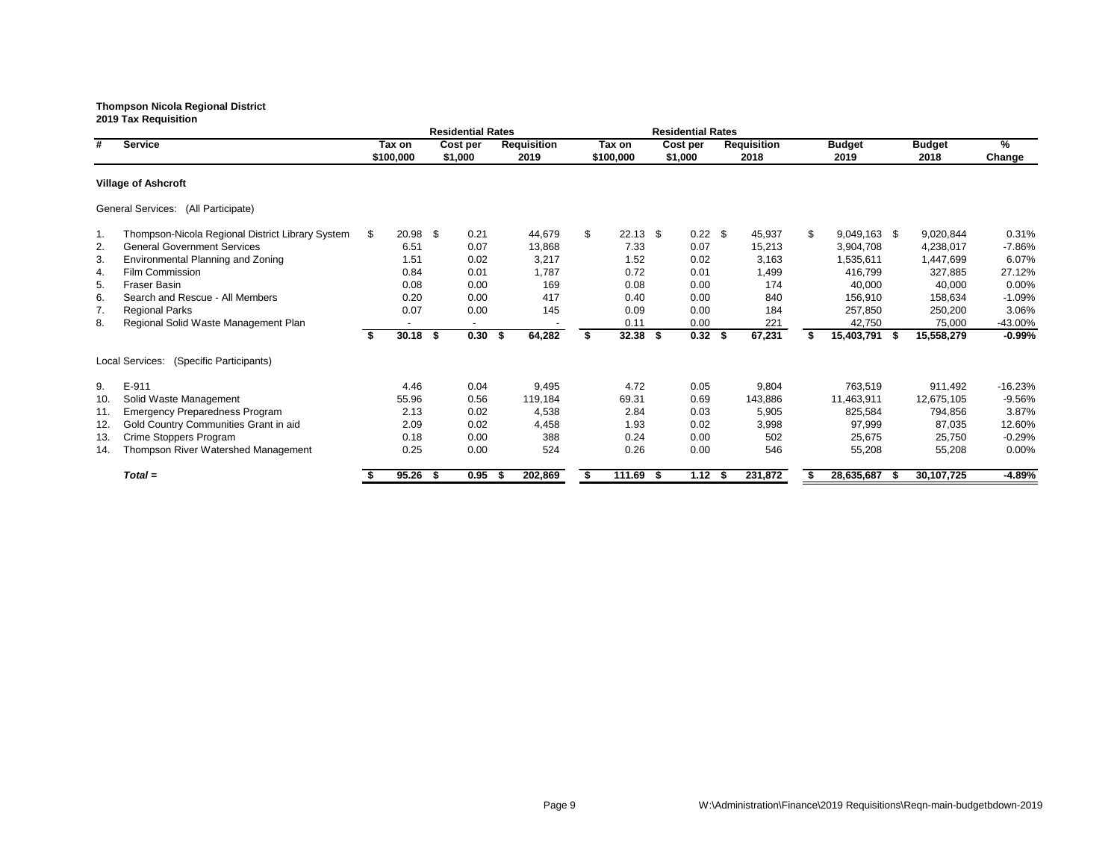|     |                                                  |    |           |      | <b>Residential Rates</b> |                    |                  |      | <b>Residential Rates</b> |                    |     |               |               |           |
|-----|--------------------------------------------------|----|-----------|------|--------------------------|--------------------|------------------|------|--------------------------|--------------------|-----|---------------|---------------|-----------|
| #   | <b>Service</b>                                   |    | Tax on    |      | Cost per                 | <b>Requisition</b> | Tax on           |      | Cost per                 | <b>Requisition</b> |     | <b>Budget</b> | <b>Budget</b> | %         |
|     |                                                  |    | \$100,000 |      | \$1,000                  | 2019               | \$100,000        |      | \$1,000                  | 2018               |     | 2019          | 2018          | Change    |
|     | <b>Village of Ashcroft</b>                       |    |           |      |                          |                    |                  |      |                          |                    |     |               |               |           |
|     | General Services: (All Participate)              |    |           |      |                          |                    |                  |      |                          |                    |     |               |               |           |
| 1.  | Thompson-Nicola Regional District Library System | S. | 20.98     | \$   | 0.21                     | 44,679             | \$<br>$22.13$ \$ |      | $0.22$ \$                | 45,937             | \$. | 9,049,163 \$  | 9,020,844     | 0.31%     |
| 2.  | <b>General Government Services</b>               |    | 6.51      |      | 0.07                     | 13,868             | 7.33             |      | 0.07                     | 15,213             |     | 3,904,708     | 4,238,017     | $-7.86%$  |
| 3.  | Environmental Planning and Zoning                |    | 1.51      |      | 0.02                     | 3,217              | 1.52             |      | 0.02                     | 3,163              |     | 1,535,611     | 1,447,699     | 6.07%     |
| 4.  | Film Commission                                  |    | 0.84      |      | 0.01                     | 1,787              | 0.72             |      | 0.01                     | 1,499              |     | 416,799       | 327,885       | 27.12%    |
| 5.  | <b>Fraser Basin</b>                              |    | 0.08      |      | 0.00                     | 169                | 0.08             |      | 0.00                     | 174                |     | 40,000        | 40,000        | 0.00%     |
| 6.  | Search and Rescue - All Members                  |    | 0.20      |      | 0.00                     | 417                | 0.40             |      | 0.00                     | 840                |     | 156,910       | 158,634       | $-1.09%$  |
| 7.  | <b>Regional Parks</b>                            |    | 0.07      |      | 0.00                     | 145                | 0.09             |      | 0.00                     | 184                |     | 257,850       | 250,200       | 3.06%     |
| 8.  | Regional Solid Waste Management Plan             |    |           |      | $\blacksquare$           |                    | 0.11             |      | 0.00                     | 221                |     | 42,750        | 75,000        | -43.00%   |
|     |                                                  | \$ | 30.18     | \$   | 0.30                     | 64,282<br>\$       | $32.38$ \$       |      | $0.32$ \$                | 67,231             |     | 15,403,791 \$ | 15,558,279    | $-0.99%$  |
|     | (Specific Participants)<br>Local Services:       |    |           |      |                          |                    |                  |      |                          |                    |     |               |               |           |
| 9.  | E-911                                            |    | 4.46      |      | 0.04                     | 9,495              | 4.72             |      | 0.05                     | 9,804              |     | 763,519       | 911,492       | $-16.23%$ |
| 10. | Solid Waste Management                           |    | 55.96     |      | 0.56                     | 119,184            | 69.31            |      | 0.69                     | 143,886            |     | 11,463,911    | 12,675,105    | $-9.56%$  |
| 11. | <b>Emergency Preparedness Program</b>            |    | 2.13      |      | 0.02                     | 4,538              | 2.84             |      | 0.03                     | 5,905              |     | 825,584       | 794,856       | 3.87%     |
| 12. | Gold Country Communities Grant in aid            |    | 2.09      |      | 0.02                     | 4,458              | 1.93             |      | 0.02                     | 3,998              |     | 97,999        | 87,035        | 12.60%    |
| 13. | Crime Stoppers Program                           |    | 0.18      |      | 0.00                     | 388                | 0.24             |      | 0.00                     | 502                |     | 25,675        | 25,750        | $-0.29%$  |
| 14. | Thompson River Watershed Management              |    | 0.25      |      | 0.00                     | 524                | 0.26             |      | 0.00                     | 546                |     | 55,208        | 55,208        | 0.00%     |
|     | $Total =$                                        |    | 95.26     | - \$ | 0.95                     | 202,869            | 111.69           | - \$ | 1.12                     | 231,872            |     | 28,635,687    | 30,107,725    | $-4.89%$  |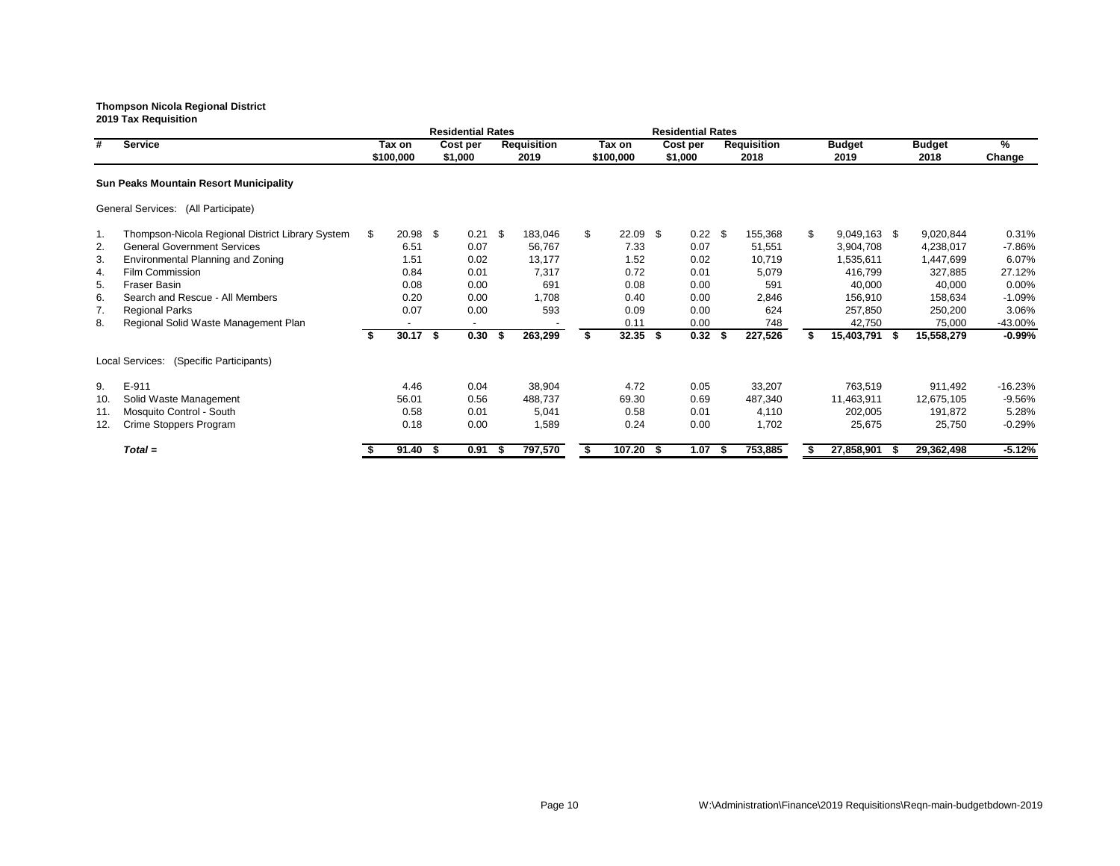|     |                                                  |    |            |     | <b>Residential Rates</b> |      |                    |                  |      | <b>Residential Rates</b> |      |                    |              |                |      |               |               |
|-----|--------------------------------------------------|----|------------|-----|--------------------------|------|--------------------|------------------|------|--------------------------|------|--------------------|--------------|----------------|------|---------------|---------------|
| #   | <b>Service</b>                                   |    | Tax on     |     | Cost per                 |      | <b>Requisition</b> | Tax on           |      | Cost per                 |      | <b>Requisition</b> |              | <b>Budget</b>  |      | <b>Budget</b> | $\%$          |
|     |                                                  |    | \$100,000  |     | \$1,000                  |      | 2019               | \$100,000        |      | \$1,000                  |      | 2018               |              | 2019           |      | 2018          | <b>Change</b> |
|     | <b>Sun Peaks Mountain Resort Municipality</b>    |    |            |     |                          |      |                    |                  |      |                          |      |                    |              |                |      |               |               |
|     | General Services: (All Participate)              |    |            |     |                          |      |                    |                  |      |                          |      |                    |              |                |      |               |               |
| 1.  | Thompson-Nicola Regional District Library System | -S | 20.98 \$   |     | 0.21                     | \$   | 183,046            | \$<br>$22.09$ \$ |      | $0.22$ \$                |      | 155,368            | $\mathbb{S}$ | $9,049,163$ \$ |      | 9,020,844     | 0.31%         |
| 2.  | <b>General Government Services</b>               |    | 6.51       |     | 0.07                     |      | 56,767             | 7.33             |      | 0.07                     |      | 51,551             |              | 3,904,708      |      | 4,238,017     | -7.86%        |
| 3.  | Environmental Planning and Zoning                |    | 1.51       |     | 0.02                     |      | 13,177             | 1.52             |      | 0.02                     |      | 10,719             |              | 1,535,611      |      | 1,447,699     | 6.07%         |
| 4.  | Film Commission                                  |    | 0.84       |     | 0.01                     |      | 7,317              | 0.72             |      | 0.01                     |      | 5,079              |              | 416,799        |      | 327,885       | 27.12%        |
| 5.  | <b>Fraser Basin</b>                              |    | 0.08       |     | 0.00                     |      | 691                | 0.08             |      | 0.00                     |      | 591                |              | 40,000         |      | 40,000        | 0.00%         |
| 6.  | Search and Rescue - All Members                  |    | 0.20       |     | 0.00                     |      | 1,708              | 0.40             |      | 0.00                     |      | 2,846              |              | 156,910        |      | 158,634       | $-1.09%$      |
| 7.  | <b>Regional Parks</b>                            |    | 0.07       |     | 0.00                     |      | 593                | 0.09             |      | 0.00                     |      | 624                |              | 257,850        |      | 250,200       | 3.06%         |
| 8.  | Regional Solid Waste Management Plan             |    |            |     | $\sim$                   |      |                    | 0.11             |      | 0.00                     |      | 748                |              | 42,750         |      | 75,000        | -43.00%       |
|     |                                                  | -S | $30.17$ \$ |     | 0.30                     | - 56 | 263,299            | $32.35$ \$       |      | $0.32$ \$                |      | 227,526            |              | 15,403,791     | - 56 | 15,558,279    | $-0.99%$      |
|     | Local Services: (Specific Participants)          |    |            |     |                          |      |                    |                  |      |                          |      |                    |              |                |      |               |               |
| 9.  | E-911                                            |    | 4.46       |     | 0.04                     |      | 38,904             | 4.72             |      | 0.05                     |      | 33,207             |              | 763,519        |      | 911,492       | $-16.23%$     |
| 10. | Solid Waste Management                           |    | 56.01      |     | 0.56                     |      | 488,737            | 69.30            |      | 0.69                     |      | 487,340            |              | 11,463,911     |      | 12,675,105    | $-9.56%$      |
| 11. | Mosquito Control - South                         |    | 0.58       |     | 0.01                     |      | 5,041              | 0.58             |      | 0.01                     |      | 4,110              |              | 202,005        |      | 191,872       | 5.28%         |
| 12. | Crime Stoppers Program                           |    | 0.18       |     | 0.00                     |      | 1,589              | 0.24             |      | 0.00                     |      | 1,702              |              | 25,675         |      | 25,750        | $-0.29%$      |
|     | $Total =$                                        |    | 91.40      | - S | 0.91                     |      | 797,570            | 107.20           | - \$ | 1.07                     | - \$ | 753,885            |              | 27,858,901     |      | 29,362,498    | $-5.12%$      |